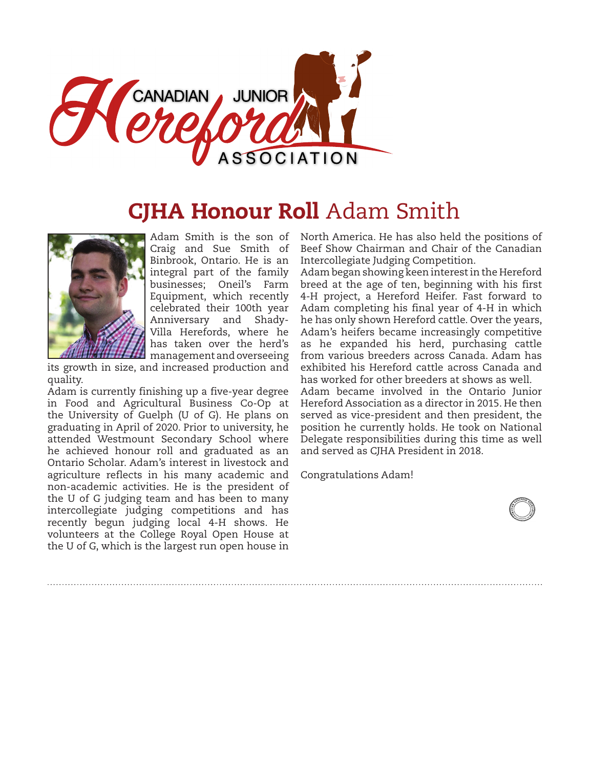

## **CJHA Honour Roll Adam Smith**



Adam Smith is the son of Craig and Sue Smith of Binbrook, Ontario. He is an integral part of the family businesses; Oneil's Farm Equipment, which recently celebrated their 100th year Anniversary and Shady-Villa Herefords, where he has taken over the herd's management and overseeing

its growth in size, and increased production and quality.

Adam is currently finishing up a five-year degree in Food and Agricultural Business Co-Op at the University of Guelph (U of G). He plans on graduating in April of 2020. Prior to university, he attended Westmount Secondary School where he achieved honour roll and graduated as an Ontario Scholar. Adam's interest in livestock and agriculture reflects in his many academic and non-academic activities. He is the president of the U of G judging team and has been to many intercollegiate judging competitions and has recently begun judging local 4-H shows. He volunteers at the College Royal Open House at the U of G, which is the largest run open house in

North America. He has also held the positions of Beef Show Chairman and Chair of the Canadian Intercollegiate Judging Competition.

Adam began showing keen interest in the Hereford breed at the age of ten, beginning with his first 4-H project, a Hereford Heifer. Fast forward to Adam completing his final year of 4-H in which he has only shown Hereford cattle. Over the years, Adam's heifers became increasingly competitive as he expanded his herd, purchasing cattle from various breeders across Canada. Adam has exhibited his Hereford cattle across Canada and has worked for other breeders at shows as well.

Adam became involved in the Ontario Junior Hereford Association as a director in 2015. He then served as vice-president and then president, the position he currently holds. He took on National Delegate responsibilities during this time as well and served as CJHA President in 2018.

Congratulations Adam!